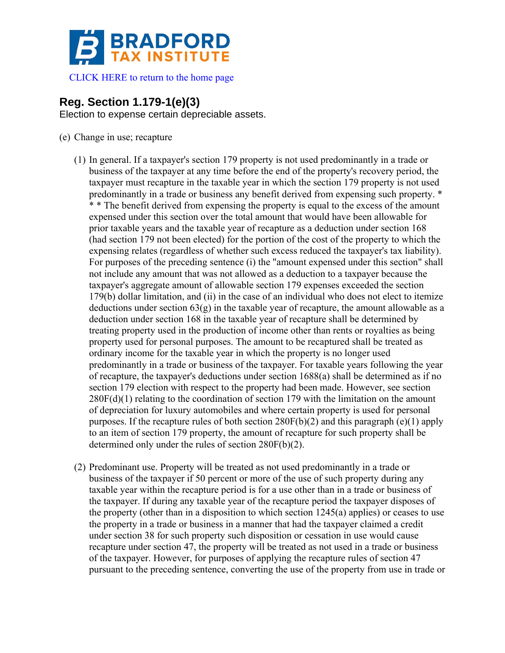

[CLICK HERE to return to the home page](http://www.bradfordtaxinstitute.com) 

## **Reg. Section 1.179-1(e)(3)**

Election to expense certain depreciable assets.

- (e) Change in use; recapture
	- (1) In general. If a taxpayer's section 179 property is not used predominantly in a trade or business of the taxpayer at any time before the end of the property's recovery period, the taxpayer must recapture in the taxable year in which the section 179 property is not used predominantly in a trade or business any benefit derived from expensing such property. \* \* \* The benefit derived from expensing the property is equal to the excess of the amount expensed under this section over the total amount that would have been allowable for prior taxable years and the taxable year of recapture as a deduction under section 168 (had section 179 not been elected) for the portion of the cost of the property to which the expensing relates (regardless of whether such excess reduced the taxpayer's tax liability). For purposes of the preceding sentence (i) the "amount expensed under this section" shall not include any amount that was not allowed as a deduction to a taxpayer because the taxpayer's aggregate amount of allowable section 179 expenses exceeded the section 179(b) dollar limitation, and (ii) in the case of an individual who does not elect to itemize deductions under section 63(g) in the taxable year of recapture, the amount allowable as a deduction under section 168 in the taxable year of recapture shall be determined by treating property used in the production of income other than rents or royalties as being property used for personal purposes. The amount to be recaptured shall be treated as ordinary income for the taxable year in which the property is no longer used predominantly in a trade or business of the taxpayer. For taxable years following the year of recapture, the taxpayer's deductions under section 1688(a) shall be determined as if no section 179 election with respect to the property had been made. However, see section  $280F(d)(1)$  relating to the coordination of section 179 with the limitation on the amount of depreciation for luxury automobiles and where certain property is used for personal purposes. If the recapture rules of both section  $280F(b)(2)$  and this paragraph (e)(1) apply to an item of section 179 property, the amount of recapture for such property shall be determined only under the rules of section 280F(b)(2).
	- (2) Predominant use. Property will be treated as not used predominantly in a trade or business of the taxpayer if 50 percent or more of the use of such property during any taxable year within the recapture period is for a use other than in a trade or business of the taxpayer. If during any taxable year of the recapture period the taxpayer disposes of the property (other than in a disposition to which section 1245(a) applies) or ceases to use the property in a trade or business in a manner that had the taxpayer claimed a credit under section 38 for such property such disposition or cessation in use would cause recapture under section 47, the property will be treated as not used in a trade or business of the taxpayer. However, for purposes of applying the recapture rules of section 47 pursuant to the preceding sentence, converting the use of the property from use in trade or